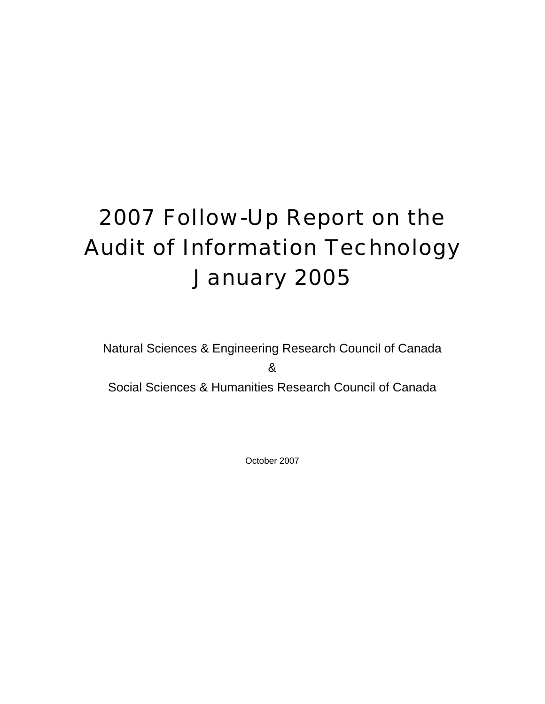# 2007 Follow-Up Report on the Audit of Information Technology January 2005

Natural Sciences & Engineering Research Council of Canada & Social Sciences & Humanities Research Council of Canada

October 2007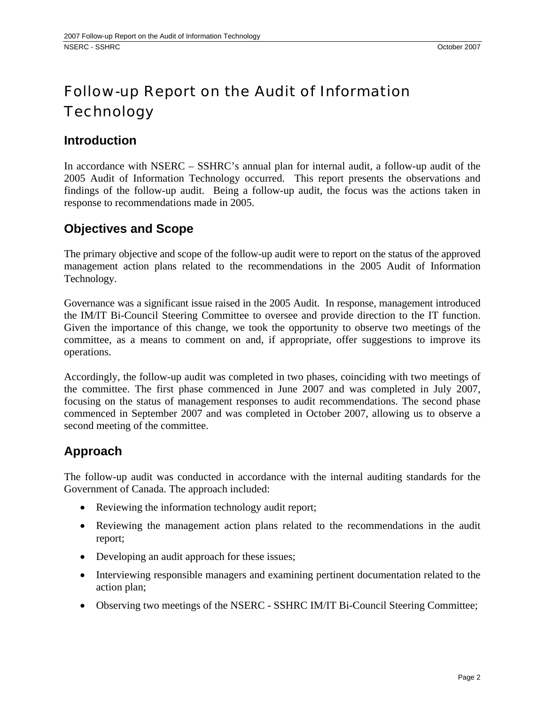# Follow-up Report on the Audit of Information **Technology**

### **Introduction**

In accordance with NSERC – SSHRC's annual plan for internal audit, a follow-up audit of the 2005 Audit of Information Technology occurred. This report presents the observations and findings of the follow-up audit. Being a follow-up audit, the focus was the actions taken in response to recommendations made in 2005.

# **Objectives and Scope**

The primary objective and scope of the follow-up audit were to report on the status of the approved management action plans related to the recommendations in the 2005 Audit of Information Technology.

Governance was a significant issue raised in the 2005 Audit. In response, management introduced the IM/IT Bi-Council Steering Committee to oversee and provide direction to the IT function. Given the importance of this change, we took the opportunity to observe two meetings of the committee, as a means to comment on and, if appropriate, offer suggestions to improve its operations.

Accordingly, the follow-up audit was completed in two phases, coinciding with two meetings of the committee. The first phase commenced in June 2007 and was completed in July 2007, focusing on the status of management responses to audit recommendations. The second phase commenced in September 2007 and was completed in October 2007, allowing us to observe a second meeting of the committee.

# **Approach**

The follow-up audit was conducted in accordance with the internal auditing standards for the Government of Canada. The approach included:

- Reviewing the information technology audit report;
- Reviewing the management action plans related to the recommendations in the audit report;
- Developing an audit approach for these issues;
- Interviewing responsible managers and examining pertinent documentation related to the action plan;
- Observing two meetings of the NSERC SSHRC IM/IT Bi-Council Steering Committee;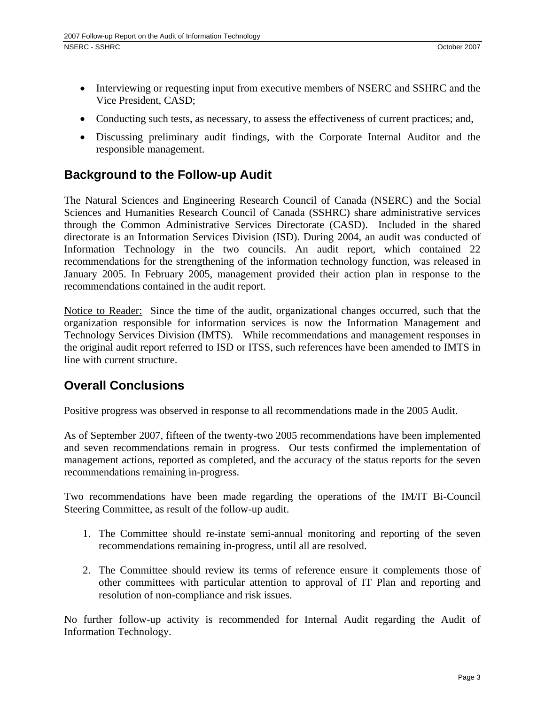- Interviewing or requesting input from executive members of NSERC and SSHRC and the Vice President, CASD;
- Conducting such tests, as necessary, to assess the effectiveness of current practices; and,
- Discussing preliminary audit findings, with the Corporate Internal Auditor and the responsible management.

# **Background to the Follow-up Audit**

The Natural Sciences and Engineering Research Council of Canada (NSERC) and the Social Sciences and Humanities Research Council of Canada (SSHRC) share administrative services through the Common Administrative Services Directorate (CASD). Included in the shared directorate is an Information Services Division (ISD). During 2004, an audit was conducted of Information Technology in the two councils. An audit report, which contained 22 recommendations for the strengthening of the information technology function, was released in January 2005. In February 2005, management provided their action plan in response to the recommendations contained in the audit report.

Notice to Reader: Since the time of the audit, organizational changes occurred, such that the organization responsible for information services is now the Information Management and Technology Services Division (IMTS). While recommendations and management responses in the original audit report referred to ISD or ITSS, such references have been amended to IMTS in line with current structure.

# **Overall Conclusions**

Positive progress was observed in response to all recommendations made in the 2005 Audit.

As of September 2007, fifteen of the twenty-two 2005 recommendations have been implemented and seven recommendations remain in progress. Our tests confirmed the implementation of management actions, reported as completed, and the accuracy of the status reports for the seven recommendations remaining in-progress.

Two recommendations have been made regarding the operations of the IM/IT Bi-Council Steering Committee, as result of the follow-up audit.

- 1. The Committee should re-instate semi-annual monitoring and reporting of the seven recommendations remaining in-progress, until all are resolved.
- 2. The Committee should review its terms of reference ensure it complements those of other committees with particular attention to approval of IT Plan and reporting and resolution of non-compliance and risk issues.

No further follow-up activity is recommended for Internal Audit regarding the Audit of Information Technology.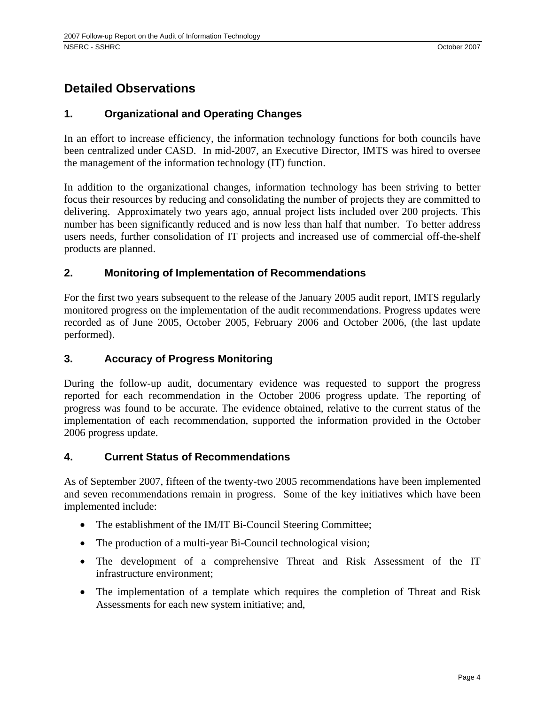# **Detailed Observations**

#### **1. Organizational and Operating Changes**

In an effort to increase efficiency, the information technology functions for both councils have been centralized under CASD. In mid-2007, an Executive Director, IMTS was hired to oversee the management of the information technology (IT) function.

In addition to the organizational changes, information technology has been striving to better focus their resources by reducing and consolidating the number of projects they are committed to delivering. Approximately two years ago, annual project lists included over 200 projects. This number has been significantly reduced and is now less than half that number. To better address users needs, further consolidation of IT projects and increased use of commercial off-the-shelf products are planned.

#### **2. Monitoring of Implementation of Recommendations**

For the first two years subsequent to the release of the January 2005 audit report, IMTS regularly monitored progress on the implementation of the audit recommendations. Progress updates were recorded as of June 2005, October 2005, February 2006 and October 2006, (the last update performed).

#### **3. Accuracy of Progress Monitoring**

During the follow-up audit, documentary evidence was requested to support the progress reported for each recommendation in the October 2006 progress update. The reporting of progress was found to be accurate. The evidence obtained, relative to the current status of the implementation of each recommendation, supported the information provided in the October 2006 progress update.

#### **4. Current Status of Recommendations**

As of September 2007, fifteen of the twenty-two 2005 recommendations have been implemented and seven recommendations remain in progress. Some of the key initiatives which have been implemented include:

- The establishment of the IM/IT Bi-Council Steering Committee;
- The production of a multi-year Bi-Council technological vision;
- The development of a comprehensive Threat and Risk Assessment of the IT infrastructure environment;
- The implementation of a template which requires the completion of Threat and Risk Assessments for each new system initiative; and,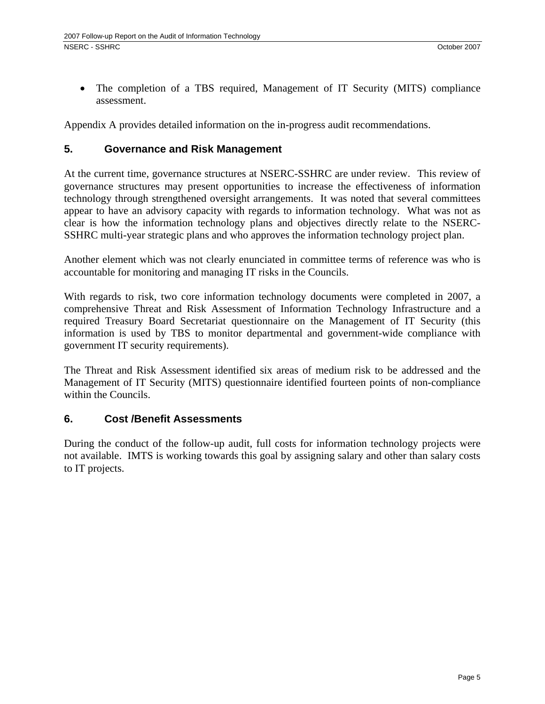• The completion of a TBS required, Management of IT Security (MITS) compliance assessment.

Appendix A provides detailed information on the in-progress audit recommendations.

#### **5. Governance and Risk Management**

At the current time, governance structures at NSERC-SSHRC are under review. This review of governance structures may present opportunities to increase the effectiveness of information technology through strengthened oversight arrangements. It was noted that several committees appear to have an advisory capacity with regards to information technology. What was not as clear is how the information technology plans and objectives directly relate to the NSERC-SSHRC multi-year strategic plans and who approves the information technology project plan.

Another element which was not clearly enunciated in committee terms of reference was who is accountable for monitoring and managing IT risks in the Councils.

With regards to risk, two core information technology documents were completed in 2007, a comprehensive Threat and Risk Assessment of Information Technology Infrastructure and a required Treasury Board Secretariat questionnaire on the Management of IT Security (this information is used by TBS to monitor departmental and government-wide compliance with government IT security requirements).

The Threat and Risk Assessment identified six areas of medium risk to be addressed and the Management of IT Security (MITS) questionnaire identified fourteen points of non-compliance within the Councils.

#### **6. Cost /Benefit Assessments**

During the conduct of the follow-up audit, full costs for information technology projects were not available. IMTS is working towards this goal by assigning salary and other than salary costs to IT projects.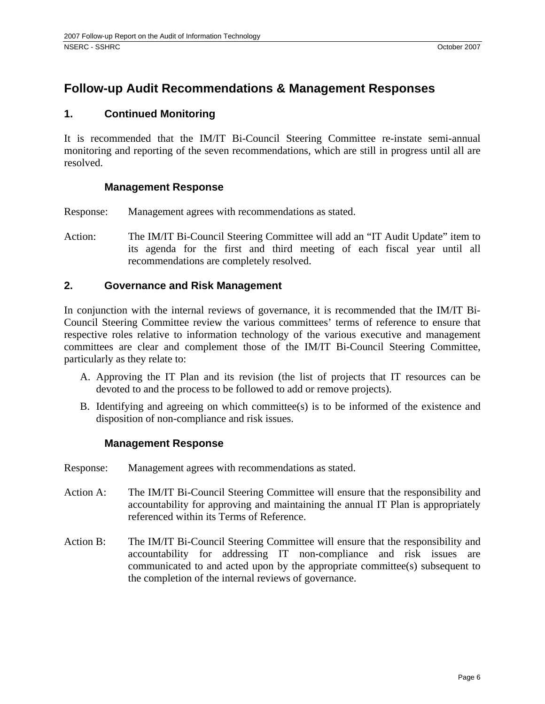# **Follow-up Audit Recommendations & Management Responses**

#### **1. Continued Monitoring**

It is recommended that the IM/IT Bi-Council Steering Committee re-instate semi-annual monitoring and reporting of the seven recommendations, which are still in progress until all are resolved.

#### **Management Response**

Response: Management agrees with recommendations as stated.

Action: The IM/IT Bi-Council Steering Committee will add an "IT Audit Update" item to its agenda for the first and third meeting of each fiscal year until all recommendations are completely resolved.

#### **2. Governance and Risk Management**

In conjunction with the internal reviews of governance, it is recommended that the IM/IT Bi-Council Steering Committee review the various committees' terms of reference to ensure that respective roles relative to information technology of the various executive and management committees are clear and complement those of the IM/IT Bi-Council Steering Committee, particularly as they relate to:

- A. Approving the IT Plan and its revision (the list of projects that IT resources can be devoted to and the process to be followed to add or remove projects).
- B. Identifying and agreeing on which committee(s) is to be informed of the existence and disposition of non-compliance and risk issues.

#### **Management Response**

- Response: Management agrees with recommendations as stated.
- Action A: The IM/IT Bi-Council Steering Committee will ensure that the responsibility and accountability for approving and maintaining the annual IT Plan is appropriately referenced within its Terms of Reference.
- Action B: The IM/IT Bi-Council Steering Committee will ensure that the responsibility and accountability for addressing IT non-compliance and risk issues are communicated to and acted upon by the appropriate committee(s) subsequent to the completion of the internal reviews of governance.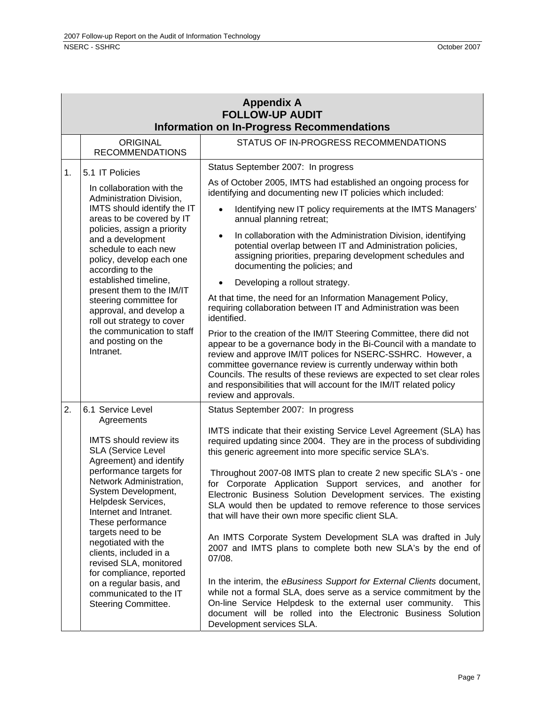| <b>Appendix A</b><br><b>FOLLOW-UP AUDIT</b>       |                                                                                                                                                                                                                                                                                                                                                                                                                                                                |                                                                                                                                                                                                                                                                                                                                                                                                                                                       |  |  |
|---------------------------------------------------|----------------------------------------------------------------------------------------------------------------------------------------------------------------------------------------------------------------------------------------------------------------------------------------------------------------------------------------------------------------------------------------------------------------------------------------------------------------|-------------------------------------------------------------------------------------------------------------------------------------------------------------------------------------------------------------------------------------------------------------------------------------------------------------------------------------------------------------------------------------------------------------------------------------------------------|--|--|
| <b>Information on In-Progress Recommendations</b> |                                                                                                                                                                                                                                                                                                                                                                                                                                                                |                                                                                                                                                                                                                                                                                                                                                                                                                                                       |  |  |
|                                                   | ORIGINAL<br><b>RECOMMENDATIONS</b>                                                                                                                                                                                                                                                                                                                                                                                                                             | STATUS OF IN-PROGRESS RECOMMENDATIONS                                                                                                                                                                                                                                                                                                                                                                                                                 |  |  |
| 1.                                                | 5.1 IT Policies                                                                                                                                                                                                                                                                                                                                                                                                                                                | Status September 2007: In progress                                                                                                                                                                                                                                                                                                                                                                                                                    |  |  |
|                                                   | In collaboration with the<br>Administration Division,<br>IMTS should identify the IT<br>areas to be covered by IT<br>policies, assign a priority<br>and a development<br>schedule to each new<br>policy, develop each one<br>according to the<br>established timeline,<br>present them to the IM/IT<br>steering committee for<br>approval, and develop a<br>roll out strategy to cover<br>the communication to staff<br>and posting on the<br>Intranet.        | As of October 2005, IMTS had established an ongoing process for<br>identifying and documenting new IT policies which included:                                                                                                                                                                                                                                                                                                                        |  |  |
|                                                   |                                                                                                                                                                                                                                                                                                                                                                                                                                                                | Identifying new IT policy requirements at the IMTS Managers'<br>$\bullet$<br>annual planning retreat;                                                                                                                                                                                                                                                                                                                                                 |  |  |
|                                                   |                                                                                                                                                                                                                                                                                                                                                                                                                                                                | In collaboration with the Administration Division, identifying<br>$\bullet$<br>potential overlap between IT and Administration policies,<br>assigning priorities, preparing development schedules and<br>documenting the policies; and                                                                                                                                                                                                                |  |  |
|                                                   |                                                                                                                                                                                                                                                                                                                                                                                                                                                                | Developing a rollout strategy.                                                                                                                                                                                                                                                                                                                                                                                                                        |  |  |
|                                                   |                                                                                                                                                                                                                                                                                                                                                                                                                                                                | At that time, the need for an Information Management Policy,<br>requiring collaboration between IT and Administration was been<br>identified.                                                                                                                                                                                                                                                                                                         |  |  |
|                                                   |                                                                                                                                                                                                                                                                                                                                                                                                                                                                | Prior to the creation of the IM/IT Steering Committee, there did not<br>appear to be a governance body in the Bi-Council with a mandate to<br>review and approve IM/IT polices for NSERC-SSHRC. However, a<br>committee governance review is currently underway within both<br>Councils. The results of these reviews are expected to set clear roles<br>and responsibilities that will account for the IM/IT related policy<br>review and approvals. |  |  |
| 2.                                                | 6.1 Service Level                                                                                                                                                                                                                                                                                                                                                                                                                                              | Status September 2007: In progress                                                                                                                                                                                                                                                                                                                                                                                                                    |  |  |
|                                                   | Agreements<br><b>IMTS</b> should review its<br><b>SLA (Service Level</b><br>Agreement) and identify<br>performance targets for<br>Network Administration,<br>System Development,<br>Helpdesk Services,<br>Internet and Intranet.<br>These performance<br>targets need to be<br>negotiated with the<br>clients, included in a<br>revised SLA, monitored<br>for compliance, reported<br>on a regular basis, and<br>communicated to the IT<br>Steering Committee. | IMTS indicate that their existing Service Level Agreement (SLA) has<br>required updating since 2004. They are in the process of subdividing<br>this generic agreement into more specific service SLA's.                                                                                                                                                                                                                                               |  |  |
|                                                   |                                                                                                                                                                                                                                                                                                                                                                                                                                                                | Throughout 2007-08 IMTS plan to create 2 new specific SLA's - one<br>for Corporate Application Support services, and another for<br>Electronic Business Solution Development services. The existing<br>SLA would then be updated to remove reference to those services<br>that will have their own more specific client SLA.                                                                                                                          |  |  |
|                                                   |                                                                                                                                                                                                                                                                                                                                                                                                                                                                | An IMTS Corporate System Development SLA was drafted in July<br>2007 and IMTS plans to complete both new SLA's by the end of<br>07/08.                                                                                                                                                                                                                                                                                                                |  |  |
|                                                   |                                                                                                                                                                                                                                                                                                                                                                                                                                                                | In the interim, the eBusiness Support for External Clients document,<br>while not a formal SLA, does serve as a service commitment by the<br>On-line Service Helpdesk to the external user community.<br>This<br>document will be rolled into the Electronic Business Solution<br>Development services SLA.                                                                                                                                           |  |  |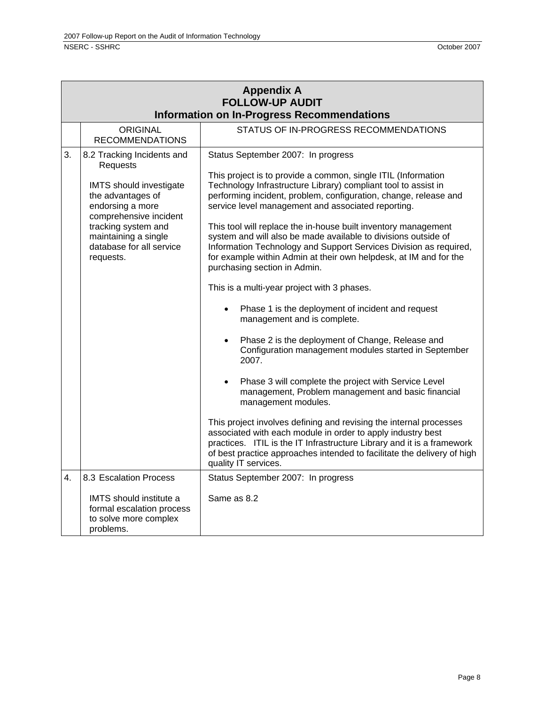| <b>Appendix A</b><br><b>FOLLOW-UP AUDIT</b><br><b>Information on In-Progress Recommendations</b> |                                                                                                                                                                                                                              |                                                                                                                                                                                                                                                                                                                                                                                                                                                                                                                                                                                                                                                                                                                                                                                                                                                                                                                                                                                                                                                                                                                                                                                                                                                                                                                                                         |  |
|--------------------------------------------------------------------------------------------------|------------------------------------------------------------------------------------------------------------------------------------------------------------------------------------------------------------------------------|---------------------------------------------------------------------------------------------------------------------------------------------------------------------------------------------------------------------------------------------------------------------------------------------------------------------------------------------------------------------------------------------------------------------------------------------------------------------------------------------------------------------------------------------------------------------------------------------------------------------------------------------------------------------------------------------------------------------------------------------------------------------------------------------------------------------------------------------------------------------------------------------------------------------------------------------------------------------------------------------------------------------------------------------------------------------------------------------------------------------------------------------------------------------------------------------------------------------------------------------------------------------------------------------------------------------------------------------------------|--|
|                                                                                                  | <b>ORIGINAL</b><br><b>RECOMMENDATIONS</b>                                                                                                                                                                                    | STATUS OF IN-PROGRESS RECOMMENDATIONS                                                                                                                                                                                                                                                                                                                                                                                                                                                                                                                                                                                                                                                                                                                                                                                                                                                                                                                                                                                                                                                                                                                                                                                                                                                                                                                   |  |
| 3.                                                                                               | 8.2 Tracking Incidents and<br>Requests<br>IMTS should investigate<br>the advantages of<br>endorsing a more<br>comprehensive incident<br>tracking system and<br>maintaining a single<br>database for all service<br>requests. | Status September 2007: In progress<br>This project is to provide a common, single ITIL (Information<br>Technology Infrastructure Library) compliant tool to assist in<br>performing incident, problem, configuration, change, release and<br>service level management and associated reporting.<br>This tool will replace the in-house built inventory management<br>system and will also be made available to divisions outside of<br>Information Technology and Support Services Division as required,<br>for example within Admin at their own helpdesk, at IM and for the<br>purchasing section in Admin.<br>This is a multi-year project with 3 phases.<br>Phase 1 is the deployment of incident and request<br>management and is complete.<br>Phase 2 is the deployment of Change, Release and<br>$\bullet$<br>Configuration management modules started in September<br>2007.<br>Phase 3 will complete the project with Service Level<br>$\bullet$<br>management, Problem management and basic financial<br>management modules.<br>This project involves defining and revising the internal processes<br>associated with each module in order to apply industry best<br>practices. ITIL is the IT Infrastructure Library and it is a framework<br>of best practice approaches intended to facilitate the delivery of high<br>quality IT services. |  |
| 4.                                                                                               | 8.3 Escalation Process<br>IMTS should institute a<br>formal escalation process<br>to solve more complex<br>problems.                                                                                                         | Status September 2007: In progress<br>Same as 8.2                                                                                                                                                                                                                                                                                                                                                                                                                                                                                                                                                                                                                                                                                                                                                                                                                                                                                                                                                                                                                                                                                                                                                                                                                                                                                                       |  |